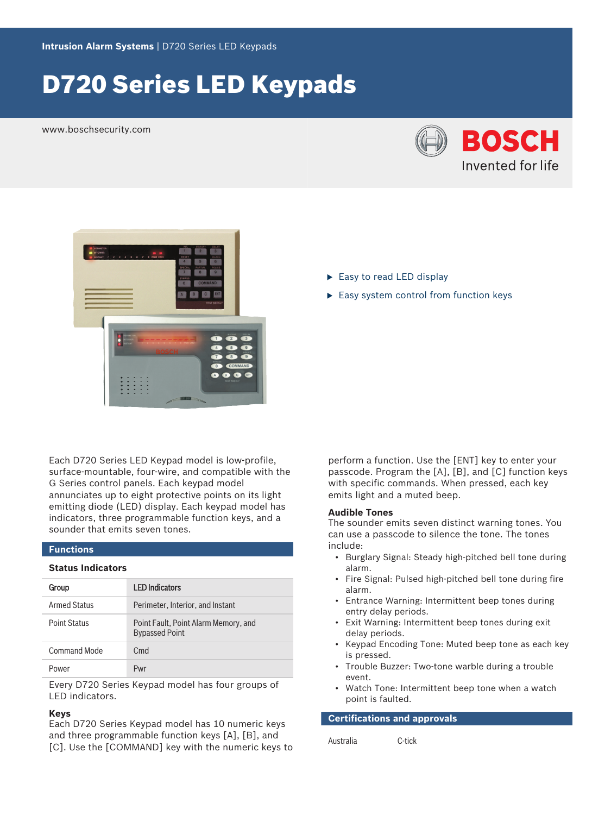# D720 Series LED Keypads

www.boschsecurity.com





Each D720 Series LED Keypad model is low-profile, surface-mountable, four-wire, and compatible with the G Series control panels. Each keypad model annunciates up to eight protective points on its light emitting diode (LED) display. Each keypad model has indicators, three programmable function keys, and a sounder that emits seven tones.

### **Functions**

#### **Status Indicators**

| Group               | <b>LED Indicators</b>                                         |
|---------------------|---------------------------------------------------------------|
| Armed Status        | Perimeter, Interior, and Instant                              |
| <b>Point Status</b> | Point Fault, Point Alarm Memory, and<br><b>Bypassed Point</b> |
| Command Mode        | C <sub>md</sub>                                               |
| Power               | Pwr                                                           |

Every D720 Series Keypad model has four groups of LED indicators.

#### **Keys**

Each D720 Series Keypad model has 10 numeric keys and three programmable function keys [A], [B], and [C]. Use the [COMMAND] key with the numeric keys to

- $\blacktriangleright$  Easy to read LED display
- $\blacktriangleright$  Easy system control from function keys

perform a function. Use the [ENT] key to enter your passcode. Program the [A], [B], and [C] function keys with specific commands. When pressed, each key emits light and a muted beep.

#### **Audible Tones**

The sounder emits seven distinct warning tones. You can use a passcode to silence the tone. The tones include:

- Burglary Signal: Steady high-pitched bell tone during alarm.
- Fire Signal: Pulsed high-pitched bell tone during fire alarm.
- Entrance Warning: Intermittent beep tones during entry delay periods.
- Exit Warning: Intermittent beep tones during exit delay periods.
- Keypad Encoding Tone: Muted beep tone as each key is pressed.
- Trouble Buzzer: Two-tone warble during a trouble event.
- Watch Tone: Intermittent beep tone when a watch point is faulted.

**Certifications and approvals**

Australia C-tick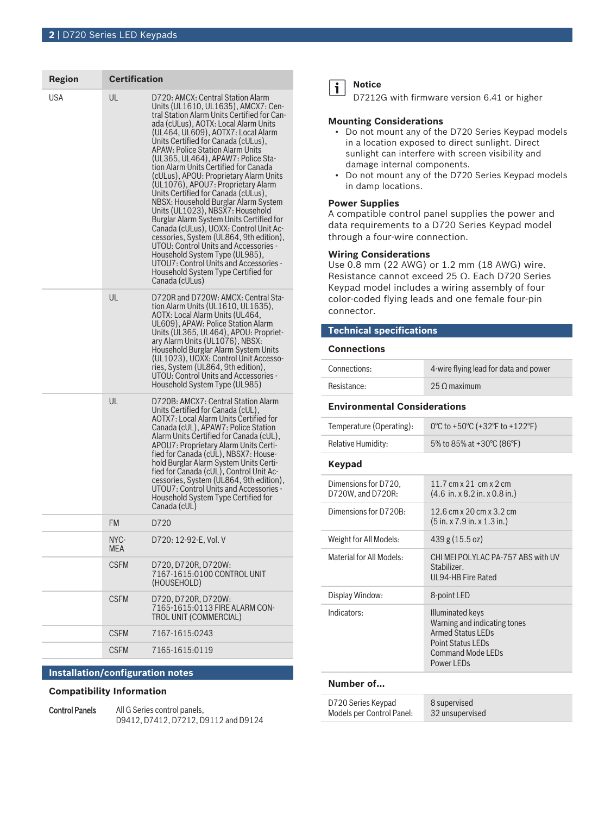| <b>Region</b> | <b>Certification</b> |                                                                                                                                                                                                                                                                                                                                                                                                                                                                                                                                                                                                                                                                                                                                                                                                                                                                                   |
|---------------|----------------------|-----------------------------------------------------------------------------------------------------------------------------------------------------------------------------------------------------------------------------------------------------------------------------------------------------------------------------------------------------------------------------------------------------------------------------------------------------------------------------------------------------------------------------------------------------------------------------------------------------------------------------------------------------------------------------------------------------------------------------------------------------------------------------------------------------------------------------------------------------------------------------------|
| USA           | UL                   | D720: AMCX: Central Station Alarm<br>Units (UL1610, UL1635), AMCX7: Cen-<br>tral Station Alarm Units Certified for Can-<br>ada (cULus), AOTX: Local Alarm Units<br>(UL464, UL609), AOTX7: Local Alarm<br>Units Certified for Canada (cULus).<br>APAW: Police Station Alarm Units<br>(UL365, UL464), APAW7: Police Sta-<br>tion Alarm Units Certified for Canada<br>(cULus), APOU: Proprietary Alarm Units<br>(UL1076), APOU7: Proprietary Alarm<br>Units Certified for Canada (cULus),<br>NBSX: Household Burglar Alarm System<br>Units (UL1023), NBSX7: Household<br>Burglar Alarm System Units Certified for<br>Canada (cULus), UOXX: Control Unit Ac-<br>cessories, System (UL864, 9th edition),<br>UTOU: Control Units and Accessories -<br>Household System Type (UL985),<br>UTOU7: Control Units and Accessories -<br>Household System Type Certified for<br>Canada (cULus) |
|               | UL                   | D720R and D720W: AMCX: Central Sta-<br>tion Alarm Units (UL1610, UL1635),<br>AOTX: Local Alarm Units (UL464,<br>UL609), APAW: Police Station Alarm<br>Units (UL365, UL464), APOU: Propriet-<br>ary Alarm Units (UL1076), NBSX:<br>Household Burglar Alarm System Units<br>(UL1023), UOXX: Control Unit Accesso-<br>ries, System (UL864, 9th edition),<br>UTOU: Control Units and Accessories -<br>Household System Type (UL985)                                                                                                                                                                                                                                                                                                                                                                                                                                                   |
|               | UL                   | D720B: AMCX7: Central Station Alarm<br>Units Certified for Canada (cUL),<br>AOTX7: Local Alarm Units Certified for<br>Canada (cUL), APAW7: Police Station<br>Alarm Units Certified for Canada (cUL),<br>APOU7: Proprietary Alarm Units Certi-<br>fied for Canada (cUL), NBSX7: House-<br>hold Burglar Alarm System Units Certi-<br>fied for Canada (cUL), Control Unit Ac-<br>cessories, System (UL864, 9th edition),<br>UTOU7: Control Units and Accessories -<br>Household System Type Certified for<br>Canada (cUL)                                                                                                                                                                                                                                                                                                                                                            |
|               | FM                   | D720                                                                                                                                                                                                                                                                                                                                                                                                                                                                                                                                                                                                                                                                                                                                                                                                                                                                              |
|               | NYC-<br>MEA          | D720: 12-92-E, Vol. V                                                                                                                                                                                                                                                                                                                                                                                                                                                                                                                                                                                                                                                                                                                                                                                                                                                             |
|               | CSFM                 | D720, D720R, D720W:<br>7167-1615:0100 CONTROL UNIT<br>(HOUSEHOLD)                                                                                                                                                                                                                                                                                                                                                                                                                                                                                                                                                                                                                                                                                                                                                                                                                 |
|               | CSFM                 | D720, D720R, D720W:<br>7165-1615:0113 FIRE ALARM CON-<br><b>TROL UNIT (COMMERCIAL)</b>                                                                                                                                                                                                                                                                                                                                                                                                                                                                                                                                                                                                                                                                                                                                                                                            |
|               | <b>CSFM</b>          | 7167-1615:0243                                                                                                                                                                                                                                                                                                                                                                                                                                                                                                                                                                                                                                                                                                                                                                                                                                                                    |
|               | <b>CSFM</b>          | 7165-1615:0119                                                                                                                                                                                                                                                                                                                                                                                                                                                                                                                                                                                                                                                                                                                                                                                                                                                                    |
|               |                      |                                                                                                                                                                                                                                                                                                                                                                                                                                                                                                                                                                                                                                                                                                                                                                                                                                                                                   |

## **Installation/configuration notes**

#### **Compatibility Information**

| <b>Control Panels</b> | All G Series control panels,         |
|-----------------------|--------------------------------------|
|                       | D9412, D7412, D7212, D9112 and D9124 |

#### **Notice**  $\mathbf i$

D7212G with firmware version 6.41 or higher

#### **Mounting Considerations**

- Do not mount any of the D720 Series Keypad models in a location exposed to direct sunlight. Direct sunlight can interfere with screen visibility and damage internal components.
- Do not mount any of the D720 Series Keypad models in damp locations.

#### **Power Supplies**

A compatible control panel supplies the power and data requirements to a D720 Series Keypad model through a four-wire connection.

### **Wiring Considerations**

Use 0.8 mm (22 AWG) or 1.2 mm (18 AWG) wire. Resistance cannot exceed 25 Ω. Each D720 Series Keypad model includes a wiring assembly of four color-coded flying leads and one female four-pin connector.

#### **Technical specifications**

#### **Connections**

| Connections: | 4-wire flying lead for data and power |
|--------------|---------------------------------------|
| Resistance:  | $25 \Omega$ maximum                   |

#### **Environmental Considerations**

| Temperature (Operating): | 0°C to +50°C (+32°F to +122°F) |
|--------------------------|--------------------------------|
| Relative Humidity:       | 5% to 85% at +30°C (86°F)      |

#### **Keypad**

| Dimensions for D720.<br>D720W, and D720R: | 11.7 cm x 21 cm x 2 cm<br>$(4.6 \text{ in. x } 8.2 \text{ in. x } 0.8 \text{ in.})$                                                         |
|-------------------------------------------|---------------------------------------------------------------------------------------------------------------------------------------------|
| Dimensions for D720B:                     | 12.6 cm x 20 cm x 3.2 cm<br>$(5 \text{ in. x } 7.9 \text{ in. x } 1.3 \text{ in.})$                                                         |
| Weight for All Models:                    | 439 g (15.5 oz)                                                                                                                             |
| Material for All Models:                  | CHI MEI POI YI AC PA-757 ABS with UV<br>Stabilizer.<br>UL94-HB Fire Rated                                                                   |
| Display Window:                           | 8-point LED                                                                                                                                 |
| Indicators:                               | Illuminated keys<br>Warning and indicating tones<br><b>Armed Status LEDs</b><br><b>Point Status LEDs</b><br>Command Mode LEDs<br>Power LEDs |
|                                           |                                                                                                                                             |

### **Number of…**

| D720 Series Keypad        | 8 supervised    |
|---------------------------|-----------------|
| Models per Control Panel: | 32 unsupervised |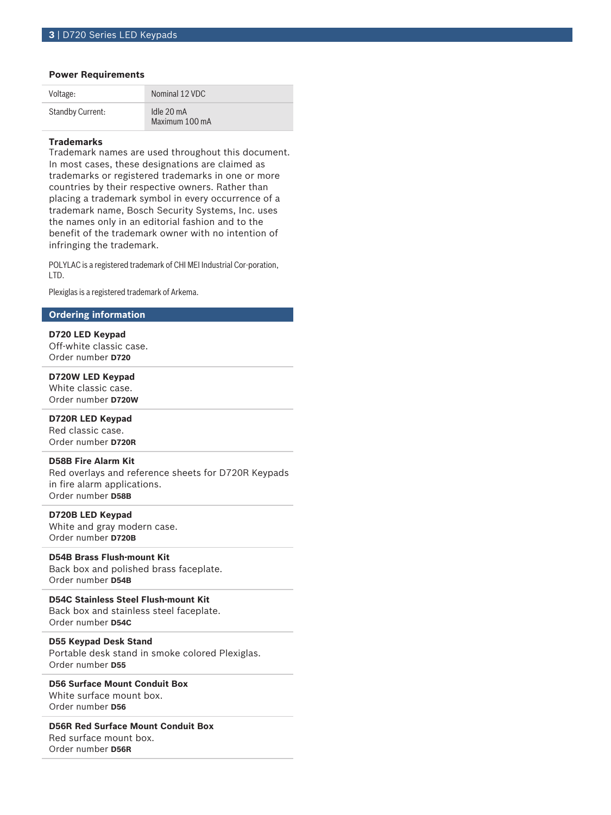#### **Power Requirements**

| Voltage:         | Nominal 12 VDC                         |
|------------------|----------------------------------------|
| Standby Current: | Idle $20 \text{ mA}$<br>Maximum 100 mA |

#### **Trademarks**

Trademark names are used throughout this document. In most cases, these designations are claimed as trademarks or registered trademarks in one or more countries by their respective owners. Rather than placing a trademark symbol in every occurrence of a trademark name, Bosch Security Systems, Inc. uses the names only in an editorial fashion and to the benefit of the trademark owner with no intention of infringing the trademark.

POLYLAC is a registered trademark of CHI MEI Industrial Cor-poration, LTD.

Plexiglas is a registered trademark of Arkema.

#### **Ordering information**

**D720 LED Keypad** Off-white classic case. Order number **D720**

**D720W LED Keypad** White classic case. Order number **D720W**

**D720R LED Keypad** Red classic case.

Order number **D720R**

**D58B Fire Alarm Kit**

Red overlays and reference sheets for D720R Keypads in fire alarm applications. Order number **D58B**

**D720B LED Keypad** White and gray modern case. Order number **D720B**

### **D54B Brass Flush‑mount Kit**

Back box and polished brass faceplate. Order number **D54B**

**D54C Stainless Steel Flush‑mount Kit** Back box and stainless steel faceplate. Order number **D54C**

#### **D55 Keypad Desk Stand**

Portable desk stand in smoke colored Plexiglas. Order number **D55**

**D56 Surface Mount Conduit Box** White surface mount box. Order number **D56**

**D56R Red Surface Mount Conduit Box** Red surface mount box.

Order number **D56R**